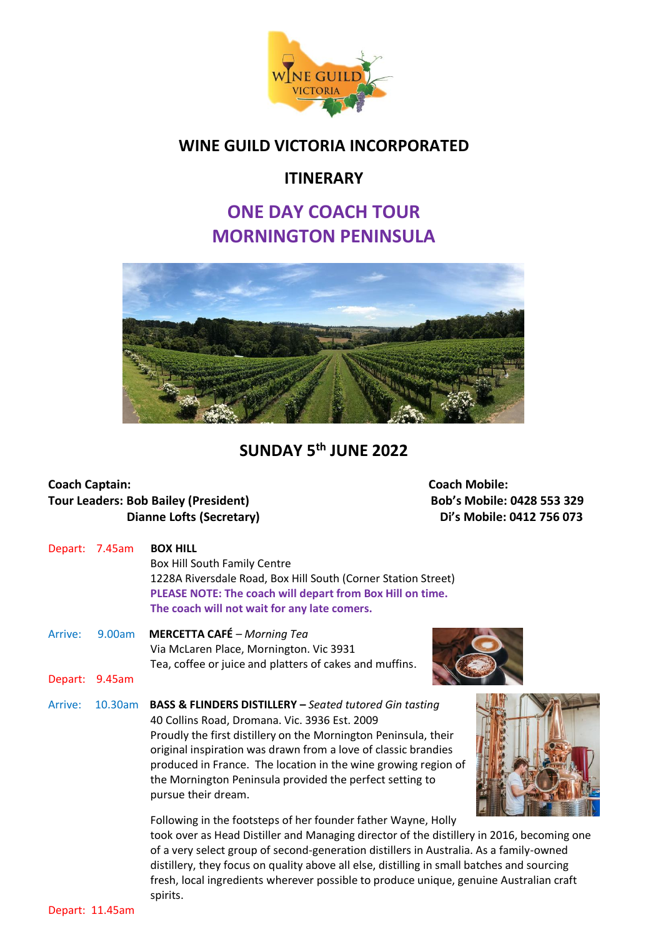

### **WINE GUILD VICTORIA INCORPORATED**

### **ITINERARY**

# **ONE DAY COACH TOUR MORNINGTON PENINSULA**



## **SUNDAY 5 th JUNE 2022**

# **Coach Captain: Coach Mobile: Tour Leaders: Bob Bailey (President) Bob's Mobile: 0428 553 329**

**Dianne Lofts (Secretary)** Di<sup>'</sup>s Mobile: 0412 756 073

| Depart: | 7.45am     | <b>BOX HILL</b><br>Box Hill South Family Centre<br>1228A Riversdale Road, Box Hill South (Corner Station Street)<br>PLEASE NOTE: The coach will depart from Box Hill on time.<br>The coach will not wait for any late comers.                                                                                                                                                                                 |
|---------|------------|---------------------------------------------------------------------------------------------------------------------------------------------------------------------------------------------------------------------------------------------------------------------------------------------------------------------------------------------------------------------------------------------------------------|
| Arrive: | 9.00am     | <b>MERCETTA CAFÉ</b> – Morning Tea<br>Via McLaren Place, Mornington. Vic 3931<br>Tea, coffee or juice and platters of cakes and muffins.                                                                                                                                                                                                                                                                      |
| Depart: | 9.45am     |                                                                                                                                                                                                                                                                                                                                                                                                               |
| Arrive: | $10.30$ am | <b>BASS &amp; FLINDERS DISTILLERY - Seated tutored Gin tasting</b><br>40 Collins Road, Dromana. Vic. 3936 Est. 2009<br>Proudly the first distillery on the Mornington Peninsula, their<br>original inspiration was drawn from a love of classic brandies<br>produced in France. The location in the wine growing region of<br>the Mornington Peninsula provided the perfect setting to<br>pursue their dream. |
|         |            | Following in the footsteps of her founder father Wayne, Holly                                                                                                                                                                                                                                                                                                                                                 |

 took over as Head Distiller and Managing director of the distillery in 2016, becoming one of a very select group of second-generation distillers in Australia. As a family-owned distillery, they focus on quality above all else, distilling in small batches and sourcing fresh, local ingredients wherever possible to produce unique, genuine Australian craft spirits.